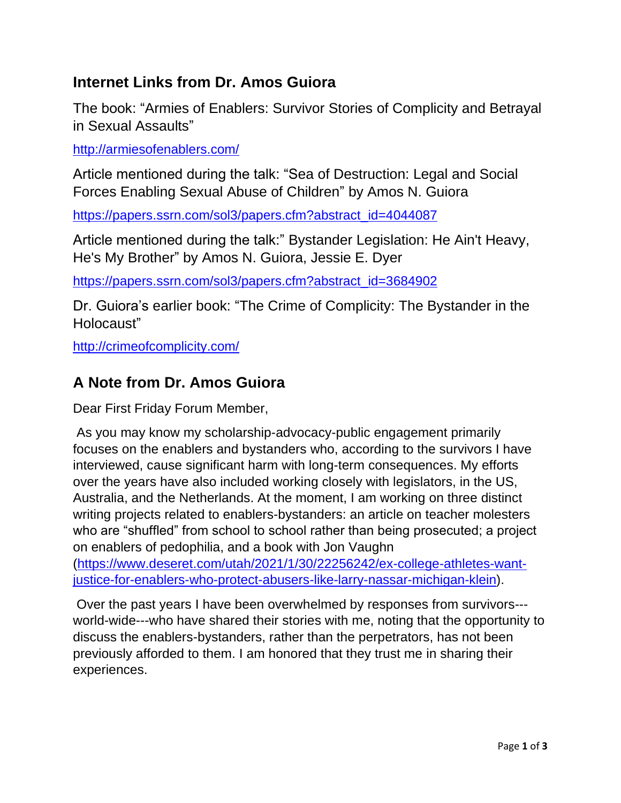## **Internet Links from Dr. Amos Guiora**

The book: "Armies of Enablers: Survivor Stories of Complicity and Betrayal in Sexual Assaults"

<http://armiesofenablers.com/>

Article mentioned during the talk: "Sea of Destruction: Legal and Social Forces Enabling Sexual Abuse of Children" by Amos N. Guiora

[https://papers.ssrn.com/sol3/papers.cfm?abstract\\_id=4044087](https://papers.ssrn.com/sol3/papers.cfm?abstract_id=4044087)

Article mentioned during the talk:" Bystander Legislation: He Ain't Heavy, He's My Brother" by Amos N. Guiora, Jessie E. Dyer

[https://papers.ssrn.com/sol3/papers.cfm?abstract\\_id=3684902](https://papers.ssrn.com/sol3/papers.cfm?abstract_id=3684902)

Dr. Guiora's earlier book: "The Crime of Complicity: The Bystander in the Holocaust"

[http://crimeofcomplicity.com/](https://www.amazon.com/Crime-Complicity-Bystander-Holocaust/dp/1634257316/) 

## **A Note from Dr. Amos Guiora**

Dear First Friday Forum Member,

As you may know my scholarship-advocacy-public engagement primarily focuses on the enablers and bystanders who, according to the survivors I have interviewed, cause significant harm with long-term consequences. My efforts over the years have also included working closely with legislators, in the US, Australia, and the Netherlands. At the moment, I am working on three distinct writing projects related to enablers-bystanders: an article on teacher molesters who are "shuffled" from school to school rather than being prosecuted; a project on enablers of pedophilia, and a book with Jon Vaughn [\(https://www.deseret.com/utah/2021/1/30/22256242/ex-college-athletes-want-](https://www.deseret.com/utah/2021/1/30/22256242/ex-college-athletes-want-justice-for-enablers-who-protect-abusers-like-larry-nassar-michigan-klein)

[justice-for-enablers-who-protect-abusers-like-larry-nassar-michigan-klein\)](https://www.deseret.com/utah/2021/1/30/22256242/ex-college-athletes-want-justice-for-enablers-who-protect-abusers-like-larry-nassar-michigan-klein).

Over the past years I have been overwhelmed by responses from survivors-- world-wide---who have shared their stories with me, noting that the opportunity to discuss the enablers-bystanders, rather than the perpetrators, has not been previously afforded to them. I am honored that they trust me in sharing their experiences.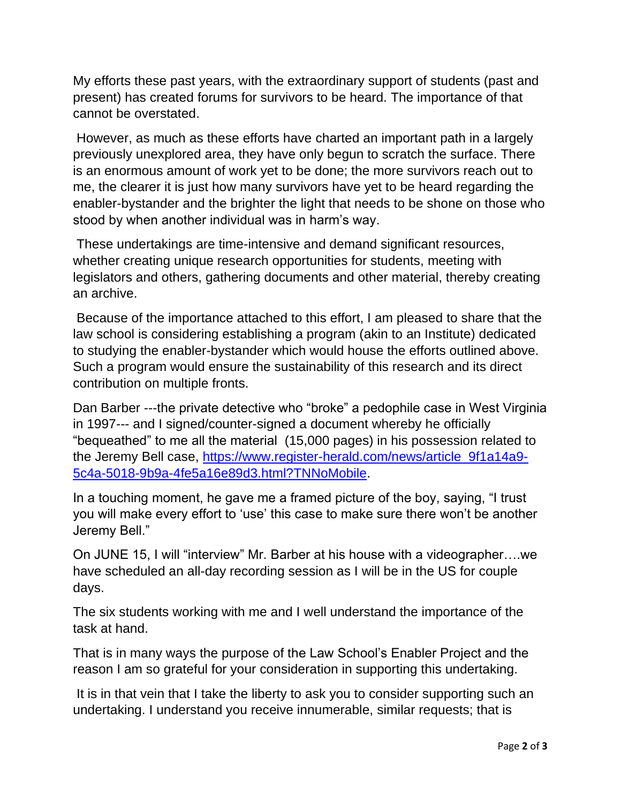My efforts these past years, with the extraordinary support of students (past and present) has created forums for survivors to be heard. The importance of that cannot be overstated.

However, as much as these efforts have charted an important path in a largely previously unexplored area, they have only begun to scratch the surface. There is an enormous amount of work yet to be done; the more survivors reach out to me, the clearer it is just how many survivors have yet to be heard regarding the enabler-bystander and the brighter the light that needs to be shone on those who stood by when another individual was in harm's way.

These undertakings are time-intensive and demand significant resources, whether creating unique research opportunities for students, meeting with legislators and others, gathering documents and other material, thereby creating an archive.

Because of the importance attached to this effort, I am pleased to share that the law school is considering establishing a program (akin to an Institute) dedicated to studying the enabler-bystander which would house the efforts outlined above. Such a program would ensure the sustainability of this research and its direct contribution on multiple fronts.

Dan Barber ---the private detective who "broke" a pedophile case in West Virginia in 1997--- and I signed/counter-signed a document whereby he officially "bequeathed" to me all the material (15,000 pages) in his possession related to the Jeremy Bell case, [https://www.register-herald.com/news/article\\_9f1a14a9-](https://www.register-herald.com/news/article_9f1a14a9-5c4a-5018-9b9a-4fe5a16e89d3.html?TNNoMobile) [5c4a-5018-9b9a-4fe5a16e89d3.html?TNNoMobile.](https://www.register-herald.com/news/article_9f1a14a9-5c4a-5018-9b9a-4fe5a16e89d3.html?TNNoMobile)

In a touching moment, he gave me a framed picture of the boy, saying, "I trust you will make every effort to 'use' this case to make sure there won't be another Jeremy Bell."

On JUNE 15, I will "interview" Mr. Barber at his house with a videographer….we have scheduled an all-day recording session as I will be in the US for couple days.

The six students working with me and I well understand the importance of the task at hand.

That is in many ways the purpose of the Law School's Enabler Project and the reason I am so grateful for your consideration in supporting this undertaking.

It is in that vein that I take the liberty to ask you to consider supporting such an undertaking. I understand you receive innumerable, similar requests; that is